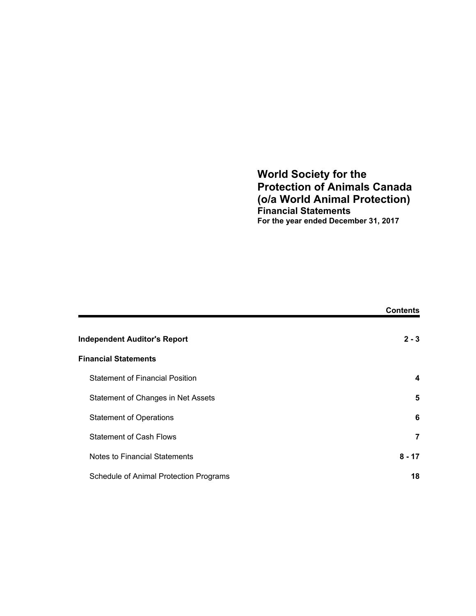## **World Society for the Protection of Animals Canada (o/a World Animal Protection) Financial Statements For the year ended December 31, 2017**

|                                        | <b>Contents</b> |
|----------------------------------------|-----------------|
| <b>Independent Auditor's Report</b>    | $2 - 3$         |
| <b>Financial Statements</b>            |                 |
| <b>Statement of Financial Position</b> | 4               |
| Statement of Changes in Net Assets     | 5               |
| <b>Statement of Operations</b>         | 6               |
| <b>Statement of Cash Flows</b>         | 7               |
| Notes to Financial Statements          | $8 - 17$        |
| Schedule of Animal Protection Programs | 18              |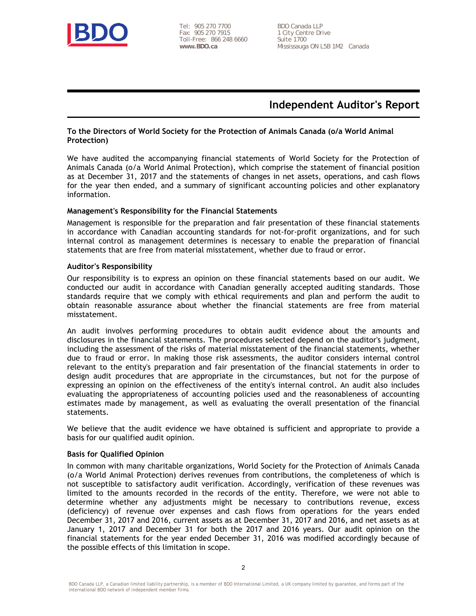

Tel: 905 270 7700 Fax: 905 270 7915 Toll-Free: 866 248 6660 **www.BDO.ca** 

BDO Canada LLP 1 City Centre Drive Suite 1700 Mississauga ON L5B 1M2 Canada

## **Independent Auditor's Report**

## **To the Directors of World Society for the Protection of Animals Canada (o/a World Animal Protection)**

We have audited the accompanying financial statements of World Society for the Protection of Animals Canada (o/a World Animal Protection), which comprise the statement of financial position as at December 31, 2017 and the statements of changes in net assets, operations, and cash flows for the year then ended, and a summary of significant accounting policies and other explanatory information.

## **Management's Responsibility for the Financial Statements**

Management is responsible for the preparation and fair presentation of these financial statements in accordance with Canadian accounting standards for not-for-profit organizations, and for such internal control as management determines is necessary to enable the preparation of financial statements that are free from material misstatement, whether due to fraud or error.

#### **Auditor's Responsibility**

Our responsibility is to express an opinion on these financial statements based on our audit. We conducted our audit in accordance with Canadian generally accepted auditing standards. Those standards require that we comply with ethical requirements and plan and perform the audit to obtain reasonable assurance about whether the financial statements are free from material misstatement.

An audit involves performing procedures to obtain audit evidence about the amounts and disclosures in the financial statements. The procedures selected depend on the auditor's judgment, including the assessment of the risks of material misstatement of the financial statements, whether due to fraud or error. In making those risk assessments, the auditor considers internal control relevant to the entity's preparation and fair presentation of the financial statements in order to design audit procedures that are appropriate in the circumstances, but not for the purpose of expressing an opinion on the effectiveness of the entity's internal control. An audit also includes evaluating the appropriateness of accounting policies used and the reasonableness of accounting estimates made by management, as well as evaluating the overall presentation of the financial statements.

We believe that the audit evidence we have obtained is sufficient and appropriate to provide a basis for our qualified audit opinion.

## **Basis for Qualified Opinion**

In common with many charitable organizations, World Society for the Protection of Animals Canada (o/a World Animal Protection) derives revenues from contributions, the completeness of which is not susceptible to satisfactory audit verification. Accordingly, verification of these revenues was limited to the amounts recorded in the records of the entity. Therefore, we were not able to determine whether any adjustments might be necessary to contributions revenue, excess (deficiency) of revenue over expenses and cash flows from operations for the years ended December 31, 2017 and 2016, current assets as at December 31, 2017 and 2016, and net assets as at January 1, 2017 and December 31 for both the 2017 and 2016 years. Our audit opinion on the financial statements for the year ended December 31, 2016 was modified accordingly because of the possible effects of this limitation in scope.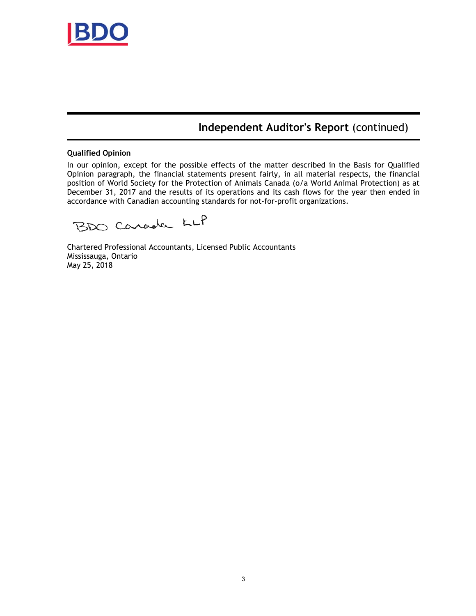

# **Independent Auditor's Report** (continued)

## **Qualified Opinion**

In our opinion, except for the possible effects of the matter described in the Basis for Qualified Opinion paragraph, the financial statements present fairly, in all material respects, the financial position of World Society for the Protection of Animals Canada (o/a World Animal Protection) as at December 31, 2017 and the results of its operations and its cash flows for the year then ended in accordance with Canadian accounting standards for not-for-profit organizations.

BDO Carada LLP

Chartered Professional Accountants, Licensed Public Accountants Mississauga, Ontario May 25, 2018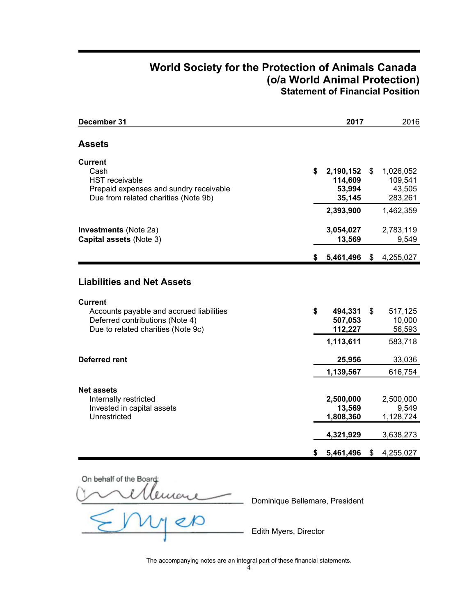# **World Society for the Protection of Animals Canada (o/a World Animal Protection) Statement of Financial Position**

| December 31                                                                                                                                                              |    | 2017                                                  | 2016 |                                                        |
|--------------------------------------------------------------------------------------------------------------------------------------------------------------------------|----|-------------------------------------------------------|------|--------------------------------------------------------|
| <b>Assets</b>                                                                                                                                                            |    |                                                       |      |                                                        |
| <b>Current</b><br>Cash<br>HST receivable<br>Prepaid expenses and sundry receivable<br>Due from related charities (Note 9b)                                               | \$ | 2,190,152<br>114,609<br>53,994<br>35,145<br>2,393,900 | \$   | 1,026,052<br>109,541<br>43,505<br>283,261<br>1,462,359 |
| <b>Investments</b> (Note 2a)<br>Capital assets (Note 3)                                                                                                                  |    | 3,054,027<br>13,569                                   |      | 2,783,119<br>9,549                                     |
|                                                                                                                                                                          | S  | 5,461,496                                             | \$   | 4,255,027                                              |
| <b>Liabilities and Net Assets</b><br><b>Current</b><br>Accounts payable and accrued liabilities<br>Deferred contributions (Note 4)<br>Due to related charities (Note 9c) | \$ | 494,331<br>507,053<br>112,227                         | \$   | 517,125<br>10,000<br>56,593                            |
| <b>Deferred rent</b>                                                                                                                                                     |    | 1,113,611<br>25,956                                   |      | 583,718<br>33,036                                      |
|                                                                                                                                                                          |    | 1,139,567                                             |      | 616,754                                                |
| <b>Net assets</b><br>Internally restricted<br>Invested in capital assets<br>Unrestricted                                                                                 |    | 2,500,000<br>13,569<br>1,808,360<br>4,321,929         |      | 2,500,000<br>9,549<br>1,128,724<br>3,638,273           |
|                                                                                                                                                                          |    | \$5,461,496                                           | \$   | 4,255,027                                              |

| On behalf of the Board: |        |
|-------------------------|--------|
|                         | lemare |
|                         |        |
|                         |        |

Dominique Bellemare, President

Edith Myers, Director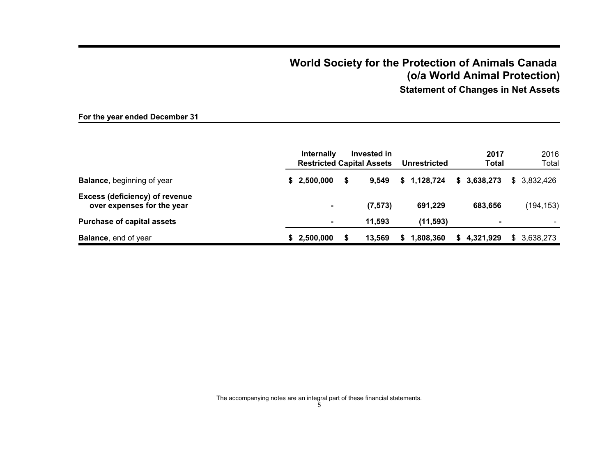# **World Society for the Protection of Animals Canada (o/a World Animal Protection) Statement of Changes in Net Assets**

## **For the year ended December 31**

|                                                                     | Internally     | Invested in<br><b>Restricted Capital Assets</b> | <b>Unrestricted</b> | 2017<br><b>Total</b> | 2016<br>Total |
|---------------------------------------------------------------------|----------------|-------------------------------------------------|---------------------|----------------------|---------------|
| <b>Balance, beginning of year</b>                                   | \$2,500,000    | 9.549                                           | \$1.128.724         | \$3,638,273          | \$ 3.832.426  |
| <b>Excess (deficiency) of revenue</b><br>over expenses for the year | $\blacksquare$ | (7, 573)                                        | 691.229             | 683,656              | (194, 153)    |
| <b>Purchase of capital assets</b>                                   | $\blacksquare$ | 11.593                                          | (11, 593)           | $\blacksquare$       |               |
| <b>Balance, end of year</b>                                         | \$2,500,000    | 13.569                                          | 1,808,360<br>S.     | 4,321,929<br>S.      | \$3,638,273   |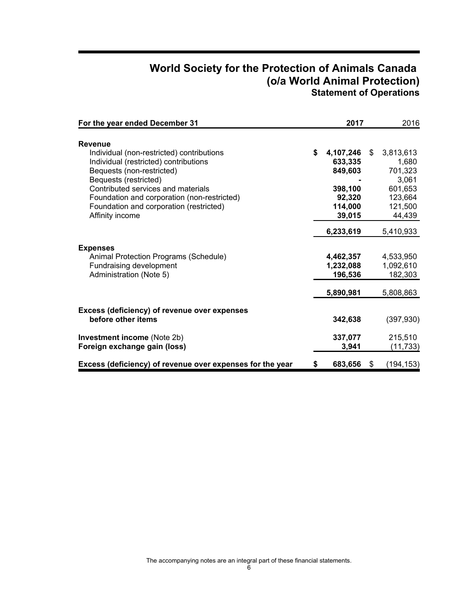# **World Society for the Protection of Animals Canada (o/a World Animal Protection) Statement of Operations**

| For the year ended December 31                            | 2017 |           |    | 2016       |
|-----------------------------------------------------------|------|-----------|----|------------|
| <b>Revenue</b>                                            |      |           |    |            |
| Individual (non-restricted) contributions                 | \$   | 4,107,246 | \$ | 3,813,613  |
| Individual (restricted) contributions                     |      | 633,335   |    | 1,680      |
| Bequests (non-restricted)                                 |      | 849,603   |    | 701,323    |
| Bequests (restricted)                                     |      |           |    | 3,061      |
| Contributed services and materials                        |      | 398,100   |    | 601,653    |
| Foundation and corporation (non-restricted)               |      | 92,320    |    | 123,664    |
| Foundation and corporation (restricted)                   |      | 114,000   |    | 121,500    |
| Affinity income                                           |      | 39,015    |    | 44,439     |
|                                                           |      | 6,233,619 |    | 5,410,933  |
| <b>Expenses</b>                                           |      |           |    |            |
| Animal Protection Programs (Schedule)                     |      | 4,462,357 |    | 4,533,950  |
| Fundraising development                                   |      | 1,232,088 |    | 1,092,610  |
| Administration (Note 5)                                   |      | 196,536   |    | 182,303    |
|                                                           |      | 5,890,981 |    | 5,808,863  |
|                                                           |      |           |    |            |
| Excess (deficiency) of revenue over expenses              |      |           |    |            |
| before other items                                        |      | 342,638   |    | (397, 930) |
| <b>Investment income (Note 2b)</b>                        |      | 337,077   |    | 215,510    |
| Foreign exchange gain (loss)                              |      | 3,941     |    | (11,733)   |
| Excess (deficiency) of revenue over expenses for the year | \$   | 683,656   | \$ | (194, 153) |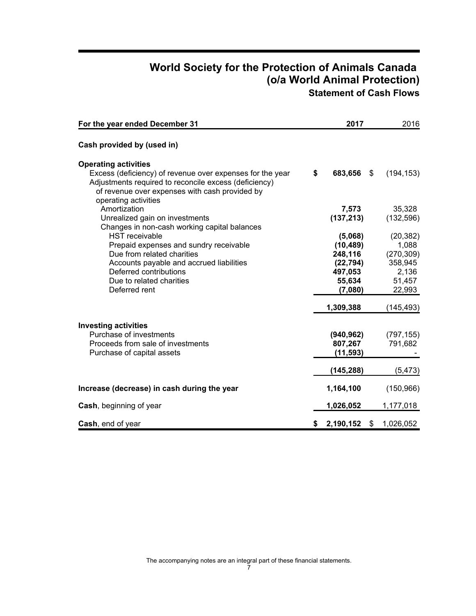# **World Society for the Protection of Animals Canada (o/a World Animal Protection) Statement of Cash Flows**

| For the year ended December 31                                                                                                                                                                                                                                   |    | 2017                                                                         | 2016                                                                     |
|------------------------------------------------------------------------------------------------------------------------------------------------------------------------------------------------------------------------------------------------------------------|----|------------------------------------------------------------------------------|--------------------------------------------------------------------------|
| Cash provided by (used in)                                                                                                                                                                                                                                       |    |                                                                              |                                                                          |
| <b>Operating activities</b><br>Excess (deficiency) of revenue over expenses for the year<br>Adjustments required to reconcile excess (deficiency)<br>of revenue over expenses with cash provided by<br>operating activities                                      | \$ | 683,656<br>\$                                                                | (194, 153)                                                               |
| Amortization<br>Unrealized gain on investments                                                                                                                                                                                                                   |    | 7,573<br>(137, 213)                                                          | 35,328<br>(132, 596)                                                     |
| Changes in non-cash working capital balances<br><b>HST</b> receivable<br>Prepaid expenses and sundry receivable<br>Due from related charities<br>Accounts payable and accrued liabilities<br>Deferred contributions<br>Due to related charities<br>Deferred rent |    | (5,068)<br>(10, 489)<br>248,116<br>(22, 794)<br>497,053<br>55,634<br>(7,080) | (20, 382)<br>1,088<br>(270, 309)<br>358,945<br>2,136<br>51,457<br>22,993 |
|                                                                                                                                                                                                                                                                  |    | 1,309,388                                                                    | (145, 493)                                                               |
| <b>Investing activities</b><br>Purchase of investments<br>Proceeds from sale of investments<br>Purchase of capital assets                                                                                                                                        |    | (940, 962)<br>807,267<br>(11, 593)                                           | (797, 155)<br>791,682                                                    |
|                                                                                                                                                                                                                                                                  |    | (145, 288)                                                                   | (5, 473)                                                                 |
| Increase (decrease) in cash during the year                                                                                                                                                                                                                      |    | 1,164,100                                                                    | (150, 966)                                                               |
| Cash, beginning of year                                                                                                                                                                                                                                          |    | 1,026,052                                                                    | 1,177,018                                                                |
| Cash, end of year                                                                                                                                                                                                                                                | S. | 2,190,152<br>\$                                                              | 1,026,052                                                                |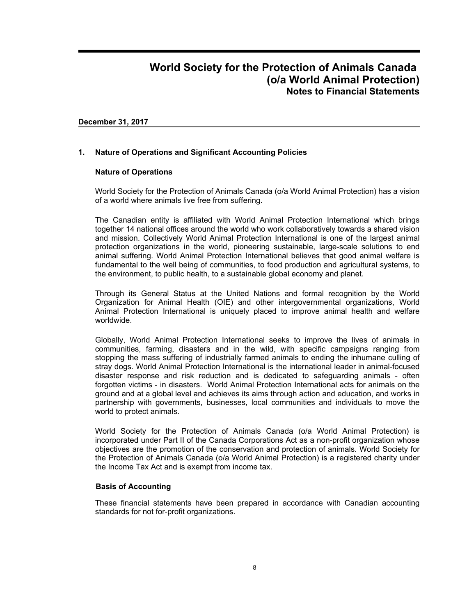### **December 31, 2017**

## **1. Nature of Operations and Significant Accounting Policies**

## **Nature of Operations**

World Society for the Protection of Animals Canada (o/a World Animal Protection) has a vision of a world where animals live free from suffering.

The Canadian entity is affiliated with World Animal Protection International which brings together 14 national offices around the world who work collaboratively towards a shared vision and mission. Collectively World Animal Protection International is one of the largest animal protection organizations in the world, pioneering sustainable, large-scale solutions to end animal suffering. World Animal Protection International believes that good animal welfare is fundamental to the well being of communities, to food production and agricultural systems, to the environment, to public health, to a sustainable global economy and planet.

Through its General Status at the United Nations and formal recognition by the World Organization for Animal Health (OIE) and other intergovernmental organizations, World Animal Protection International is uniquely placed to improve animal health and welfare worldwide.

Globally, World Animal Protection International seeks to improve the lives of animals in communities, farming, disasters and in the wild, with specific campaigns ranging from stopping the mass suffering of industrially farmed animals to ending the inhumane culling of stray dogs. World Animal Protection International is the international leader in animal-focused disaster response and risk reduction and is dedicated to safeguarding animals - often forgotten victims - in disasters. World Animal Protection International acts for animals on the ground and at a global level and achieves its aims through action and education, and works in partnership with governments, businesses, local communities and individuals to move the world to protect animals.

World Society for the Protection of Animals Canada (o/a World Animal Protection) is incorporated under Part II of the Canada Corporations Act as a non-profit organization whose objectives are the promotion of the conservation and protection of animals. World Society for the Protection of Animals Canada (o/a World Animal Protection) is a registered charity under the Income Tax Act and is exempt from income tax.

## **Basis of Accounting**

These financial statements have been prepared in accordance with Canadian accounting standards for not for-profit organizations.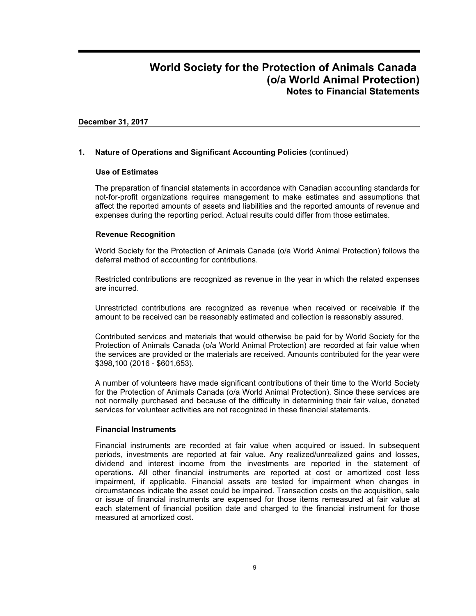### **December 31, 2017**

## **1. Nature of Operations and Significant Accounting Policies** (continued)

## **Use of Estimates**

The preparation of financial statements in accordance with Canadian accounting standards for not-for-profit organizations requires management to make estimates and assumptions that affect the reported amounts of assets and liabilities and the reported amounts of revenue and expenses during the reporting period. Actual results could differ from those estimates.

#### **Revenue Recognition**

World Society for the Protection of Animals Canada (o/a World Animal Protection) follows the deferral method of accounting for contributions.

Restricted contributions are recognized as revenue in the year in which the related expenses are incurred.

Unrestricted contributions are recognized as revenue when received or receivable if the amount to be received can be reasonably estimated and collection is reasonably assured.

Contributed services and materials that would otherwise be paid for by World Society for the Protection of Animals Canada (o/a World Animal Protection) are recorded at fair value when the services are provided or the materials are received. Amounts contributed for the year were \$398,100 (2016 - \$601,653).

A number of volunteers have made significant contributions of their time to the World Society for the Protection of Animals Canada (o/a World Animal Protection). Since these services are not normally purchased and because of the difficulty in determining their fair value, donated services for volunteer activities are not recognized in these financial statements.

#### **Financial Instruments**

Financial instruments are recorded at fair value when acquired or issued. In subsequent periods, investments are reported at fair value. Any realized/unrealized gains and losses, dividend and interest income from the investments are reported in the statement of operations. All other financial instruments are reported at cost or amortized cost less impairment, if applicable. Financial assets are tested for impairment when changes in circumstances indicate the asset could be impaired. Transaction costs on the acquisition, sale or issue of financial instruments are expensed for those items remeasured at fair value at each statement of financial position date and charged to the financial instrument for those measured at amortized cost.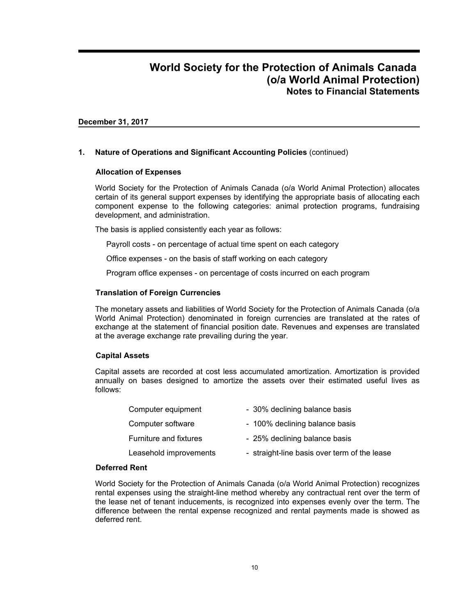## **December 31, 2017**

## **1. Nature of Operations and Significant Accounting Policies** (continued)

## **Allocation of Expenses**

World Society for the Protection of Animals Canada (o/a World Animal Protection) allocates certain of its general support expenses by identifying the appropriate basis of allocating each component expense to the following categories: animal protection programs, fundraising development, and administration.

The basis is applied consistently each year as follows:

Payroll costs - on percentage of actual time spent on each category

Office expenses - on the basis of staff working on each category

Program office expenses - on percentage of costs incurred on each program

#### **Translation of Foreign Currencies**

The monetary assets and liabilities of World Society for the Protection of Animals Canada (o/a World Animal Protection) denominated in foreign currencies are translated at the rates of exchange at the statement of financial position date. Revenues and expenses are translated at the average exchange rate prevailing during the year.

## **Capital Assets**

Capital assets are recorded at cost less accumulated amortization. Amortization is provided annually on bases designed to amortize the assets over their estimated useful lives as follows:

| Computer equipment            | - 30% declining balance basis                |
|-------------------------------|----------------------------------------------|
| Computer software             | - 100% declining balance basis               |
| <b>Furniture and fixtures</b> | - 25% declining balance basis                |
| Leasehold improvements        | - straight-line basis over term of the lease |

#### **Deferred Rent**

World Society for the Protection of Animals Canada (o/a World Animal Protection) recognizes rental expenses using the straight-line method whereby any contractual rent over the term of the lease net of tenant inducements, is recognized into expenses evenly over the term. The difference between the rental expense recognized and rental payments made is showed as deferred rent.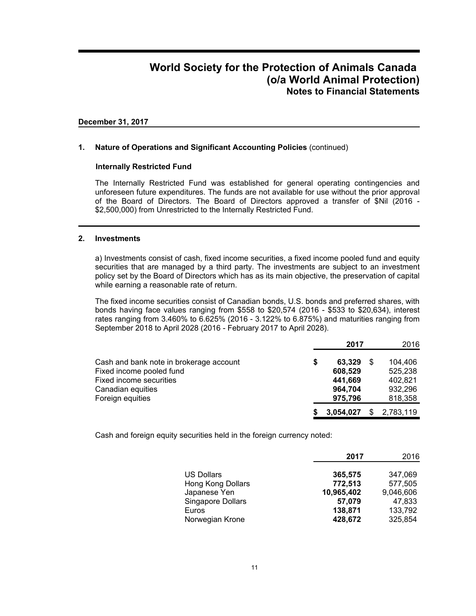### **December 31, 2017**

## **1. Nature of Operations and Significant Accounting Policies** (continued)

## **Internally Restricted Fund**

The Internally Restricted Fund was established for general operating contingencies and unforeseen future expenditures. The funds are not available for use without the prior approval of the Board of Directors. The Board of Directors approved a transfer of \$Nil (2016 - \$2,500,000) from Unrestricted to the Internally Restricted Fund.

#### **2. Investments**

a) Investments consist of cash, fixed income securities, a fixed income pooled fund and equity securities that are managed by a third party. The investments are subject to an investment policy set by the Board of Directors which has as its main objective, the preservation of capital while earning a reasonable rate of return.

The fixed income securities consist of Canadian bonds, U.S. bonds and preferred shares, with bonds having face values ranging from \$558 to \$20,574 (2016 - \$533 to \$20,634), interest rates ranging from 3.460% to 6.625% (2016 - 3.122% to 6.875%) and maturities ranging from September 2018 to April 2028 (2016 - February 2017 to April 2028).

|                                         |   | 2017      | 2016 |           |
|-----------------------------------------|---|-----------|------|-----------|
| Cash and bank note in brokerage account | S | 63.329    | -S   | 104.406   |
| Fixed income pooled fund                |   | 608,529   |      | 525,238   |
| Fixed income securities                 |   | 441.669   |      | 402.821   |
| Canadian equities                       |   | 964,704   |      | 932.296   |
| Foreign equities                        |   | 975.796   |      | 818,358   |
|                                         |   | 3,054,027 | S    | 2,783,119 |

Cash and foreign equity securities held in the foreign currency noted:

| 347,069<br>577,505<br>9,046,606<br>47,833<br>133,792<br>325,854 |
|-----------------------------------------------------------------|
|                                                                 |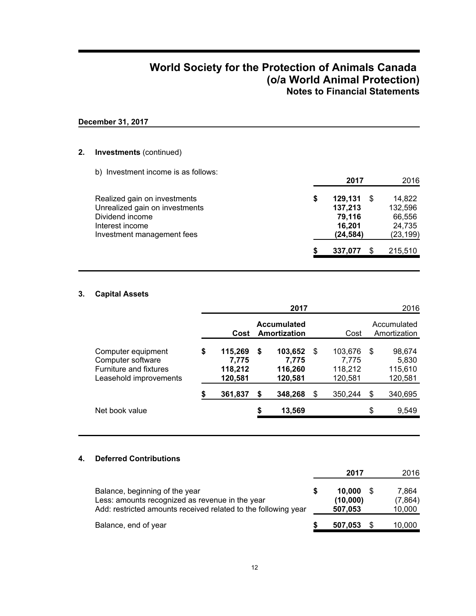## **December 31, 2017**

## **2. Investments** (continued)

b) Investment income is as follows:

|                                |   | 2017      |      | 2016      |
|--------------------------------|---|-----------|------|-----------|
| Realized gain on investments   | S | 129,131   | - \$ | 14,822    |
| Unrealized gain on investments |   | 137,213   |      | 132,596   |
| Dividend income                |   | 79.116    |      | 66,556    |
| Interest income                |   | 16,201    |      | 24.735    |
| Investment management fees     |   | (24, 584) |      | (23, 199) |
|                                |   | 337,077   |      | 215,510   |
|                                |   |           |      |           |

## **3. Capital Assets**

|                                                                                             |                                              |    | 2017                                   |    |                                        | 2016                                        |
|---------------------------------------------------------------------------------------------|----------------------------------------------|----|----------------------------------------|----|----------------------------------------|---------------------------------------------|
|                                                                                             | Cost                                         |    | <b>Accumulated</b><br>Amortization     |    | Cost                                   | Accumulated<br>Amortization                 |
| Computer equipment<br>Computer software<br>Furniture and fixtures<br>Leasehold improvements | \$<br>115,269<br>7,775<br>118,212<br>120,581 | S  | 103,652<br>7,775<br>116,260<br>120,581 | \$ | 103,676<br>7.775<br>118,212<br>120,581 | \$<br>98,674<br>5,830<br>115,610<br>120,581 |
|                                                                                             | 361,837                                      | S  | 348,268                                | S  | 350,244                                | \$<br>340,695                               |
| Net book value                                                                              |                                              | \$ | 13,569                                 |    |                                        | \$<br>9,549                                 |

## **4. Deferred Contributions**

|                                                                                                                                                     | 2017                          | 2016                       |
|-----------------------------------------------------------------------------------------------------------------------------------------------------|-------------------------------|----------------------------|
| Balance, beginning of the year<br>Less: amounts recognized as revenue in the year<br>Add: restricted amounts received related to the following year | 10.000<br>(10,000)<br>507,053 | 7.864<br>(7,864)<br>10,000 |
| Balance, end of year                                                                                                                                | 507.053                       | 10.000                     |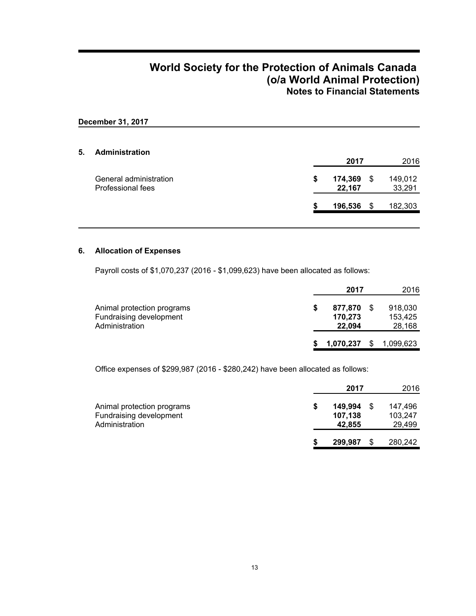## **December 31, 2017**

## **5. Administration**

|                                             | 2017                    | 2016                    |
|---------------------------------------------|-------------------------|-------------------------|
| General administration<br>Professional fees | \$<br>174,369<br>22.167 | \$<br>149,012<br>33,291 |
|                                             | 196,536                 | \$<br>182,303           |
|                                             |                         |                         |

## **6. Allocation of Expenses**

Payroll costs of \$1,070,237 (2016 - \$1,099,623) have been allocated as follows:

|                                                                         |   | 2017                         |      | 2016                         |
|-------------------------------------------------------------------------|---|------------------------------|------|------------------------------|
| Animal protection programs<br>Fundraising development<br>Administration | S | 877.870<br>170,273<br>22.094 | - \$ | 918,030<br>153,425<br>28,168 |
|                                                                         |   | 1,070,237                    |      | 1,099,623                    |

Office expenses of \$299,987 (2016 - \$280,242) have been allocated as follows:

|                                                                         |   | 2017                         |      | 2016                         |
|-------------------------------------------------------------------------|---|------------------------------|------|------------------------------|
| Animal protection programs<br>Fundraising development<br>Administration |   | 149.994<br>107,138<br>42.855 | - \$ | 147.496<br>103.247<br>29,499 |
|                                                                         | S | 299.987                      |      | 280,242                      |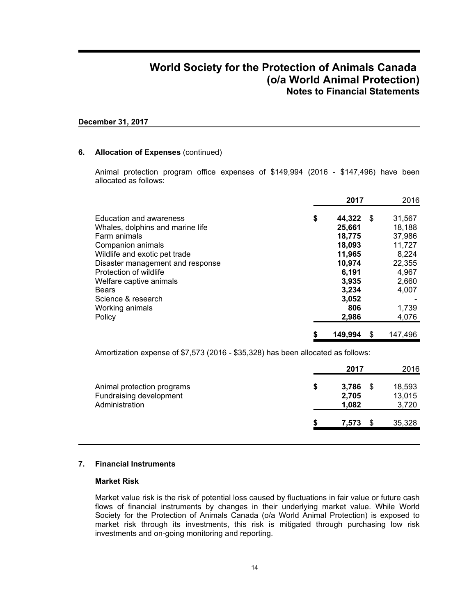#### **December 31, 2017**

## **6. Allocation of Expenses** (continued)

Animal protection program office expenses of \$149,994 (2016 - \$147,496) have been allocated as follows:

|                                                                                                                                                                                                                                                                                               | 2017                                                                                                               |      | 2016                                                                                                 |
|-----------------------------------------------------------------------------------------------------------------------------------------------------------------------------------------------------------------------------------------------------------------------------------------------|--------------------------------------------------------------------------------------------------------------------|------|------------------------------------------------------------------------------------------------------|
| Education and awareness<br>Whales, dolphins and marine life<br>Farm animals<br>Companion animals<br>Wildlife and exotic pet trade<br>Disaster management and response<br>Protection of wildlife<br>Welfare captive animals<br><b>Bears</b><br>Science & research<br>Working animals<br>Policy | \$<br>44,322<br>25,661<br>18,775<br>18,093<br>11,965<br>10,974<br>6,191<br>3,935<br>3,234<br>3,052<br>806<br>2,986 | - \$ | 31,567<br>18,188<br>37,986<br>11,727<br>8,224<br>22,355<br>4,967<br>2,660<br>4,007<br>1,739<br>4,076 |
|                                                                                                                                                                                                                                                                                               | \$<br>149.994                                                                                                      | S    | 147,496                                                                                              |

Amortization expense of \$7,573 (2016 - \$35,328) has been allocated as follows:

|                                                                         |    | 2017                    | 2016                            |
|-------------------------------------------------------------------------|----|-------------------------|---------------------------------|
| Animal protection programs<br>Fundraising development<br>Administration | \$ | 3,786<br>2,705<br>1.082 | \$<br>18,593<br>13,015<br>3,720 |
|                                                                         | S  | 7.573                   | 35,328                          |

## **7. Financial Instruments**

#### **Market Risk**

Market value risk is the risk of potential loss caused by fluctuations in fair value or future cash flows of financial instruments by changes in their underlying market value. While World Society for the Protection of Animals Canada (o/a World Animal Protection) is exposed to market risk through its investments, this risk is mitigated through purchasing low risk investments and on-going monitoring and reporting.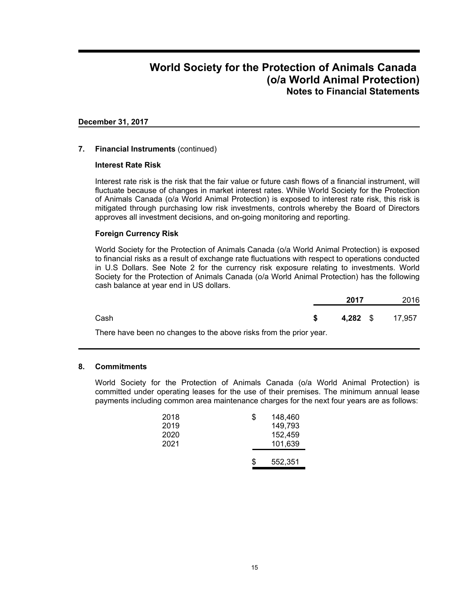## **December 31, 2017**

## **7. Financial Instruments** (continued)

## **Interest Rate Risk**

Interest rate risk is the risk that the fair value or future cash flows of a financial instrument, will fluctuate because of changes in market interest rates. While World Society for the Protection of Animals Canada (o/a World Animal Protection) is exposed to interest rate risk, this risk is mitigated through purchasing low risk investments, controls whereby the Board of Directors approves all investment decisions, and on-going monitoring and reporting.

## **Foreign Currency Risk**

World Society for the Protection of Animals Canada (o/a World Animal Protection) is exposed to financial risks as a result of exchange rate fluctuations with respect to operations conducted in U.S Dollars. See Note 2 for the currency risk exposure relating to investments. World Society for the Protection of Animals Canada (o/a World Animal Protection) has the following cash balance at year end in US dollars.

|      |  |  | <b>2017</b> 2016         |
|------|--|--|--------------------------|
| Cash |  |  | $$ 4,282 \quad $ 17,957$ |
|      |  |  |                          |

There have been no changes to the above risks from the prior year.

## **8. Commitments**

World Society for the Protection of Animals Canada (o/a World Animal Protection) is committed under operating leases for the use of their premises. The minimum annual lease payments including common area maintenance charges for the next four years are as follows:

| 2018 | \$<br>148,460 |
|------|---------------|
| 2019 | 149,793       |
| 2020 | 152,459       |
| 2021 | 101,639       |
|      |               |
|      | \$<br>552,351 |
|      |               |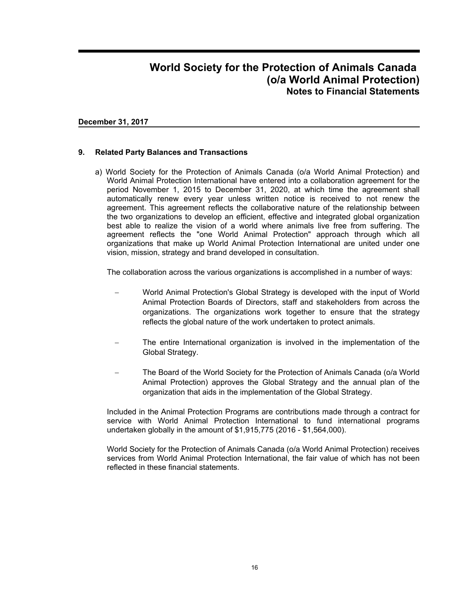## **December 31, 2017**

## **9. Related Party Balances and Transactions**

a) World Society for the Protection of Animals Canada (o/a World Animal Protection) and World Animal Protection International have entered into a collaboration agreement for the period November 1, 2015 to December 31, 2020, at which time the agreement shall automatically renew every year unless written notice is received to not renew the agreement. This agreement reflects the collaborative nature of the relationship between the two organizations to develop an efficient, effective and integrated global organization best able to realize the vision of a world where animals live free from suffering. The agreement reflects the "one World Animal Protection" approach through which all organizations that make up World Animal Protection International are united under one vision, mission, strategy and brand developed in consultation.

The collaboration across the various organizations is accomplished in a number of ways:

- World Animal Protection's Global Strategy is developed with the input of World Animal Protection Boards of Directors, staff and stakeholders from across the organizations. The organizations work together to ensure that the strategy reflects the global nature of the work undertaken to protect animals.
- The entire International organization is involved in the implementation of the Global Strategy.
- The Board of the World Society for the Protection of Animals Canada (o/a World Animal Protection) approves the Global Strategy and the annual plan of the organization that aids in the implementation of the Global Strategy.

Included in the Animal Protection Programs are contributions made through a contract for service with World Animal Protection International to fund international programs undertaken globally in the amount of \$1,915,775 (2016 - \$1,564,000).

World Society for the Protection of Animals Canada (o/a World Animal Protection) receives services from World Animal Protection International, the fair value of which has not been reflected in these financial statements.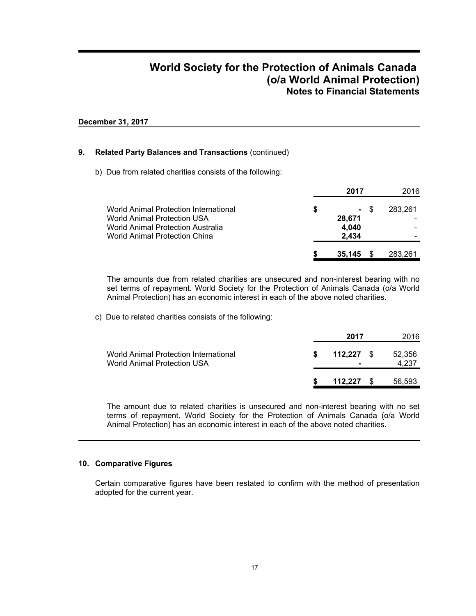## **December 31, 2017**

## **9. Related Party Balances and Transactions** (continued)

b) Due from related charities consists of the following:

|                                                                                                                                            |   | 2017                     |      | 2016    |
|--------------------------------------------------------------------------------------------------------------------------------------------|---|--------------------------|------|---------|
| World Animal Protection International<br>World Animal Protection USA<br>World Animal Protection Australia<br>World Animal Protection China | S | 28,671<br>4.040<br>2.434 | - \$ | 283.261 |
|                                                                                                                                            |   | 35.145                   | \$   | 283,261 |

The amounts due from related charities are unsecured and non-interest bearing with no set terms of repayment. World Society for the Protection of Animals Canada (o/a World Animal Protection) has an economic interest in each of the above noted charities.

c) Due to related charities consists of the following:

|                                                                      | 2017           | 2016            |
|----------------------------------------------------------------------|----------------|-----------------|
| World Animal Protection International<br>World Animal Protection USA | 112.227 S<br>- | 52,356<br>4.237 |
|                                                                      | 112.227 S      | 56,593          |

The amount due to related charities is unsecured and non-interest bearing with no set terms of repayment. World Society for the Protection of Animals Canada (o/a World Animal Protection) has an economic interest in each of the above noted charities.

## **10. Comparative Figures**

Certain comparative figures have been restated to confirm with the method of presentation adopted for the current year.